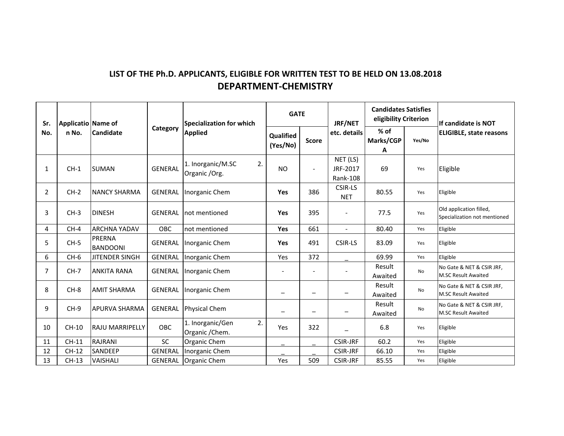## **LIST OF THE Ph.D. APPLICANTS, ELIGIBLE FOR WRITTEN TEST TO BE HELD ON 13.08.2018 DEPARTMENT‐CHEMISTRY**

| Sr.<br>No.     | Applicatio Name of<br>n No. | Candidate                 | Category       | Specialization for which<br><b>Applied</b> | <b>GATE</b>              |              | JRF/NET                          | <b>Candidates Satisfies</b><br>eligibility Criterion |           | If candidate is NOT                                     |
|----------------|-----------------------------|---------------------------|----------------|--------------------------------------------|--------------------------|--------------|----------------------------------|------------------------------------------------------|-----------|---------------------------------------------------------|
|                |                             |                           |                |                                            | Qualified<br>(Yes/No)    | <b>Score</b> | etc. details                     | $%$ of<br>Marks/CGP<br>Α                             | Yes/No    | <b>ELIGIBLE, state reasons</b>                          |
| 1              | $CH-1$                      | <b>SUMAN</b>              | <b>GENERAL</b> | 2.<br>1. Inorganic/M.SC<br>Organic /Org.   | <b>NO</b>                |              | NET (LS)<br>JRF-2017<br>Rank-108 | 69                                                   | Yes       | Eligible                                                |
| 2              | $CH-2$                      | <b>NANCY SHARMA</b>       | <b>GENERAL</b> | Inorganic Chem                             | Yes                      | 386          | <b>CSIR-LS</b><br><b>NET</b>     | 80.55                                                | Yes       | Eligible                                                |
| 3              | $CH-3$                      | <b>DINESH</b>             | <b>GENERAL</b> | not mentioned                              | Yes                      | 395          | $\overline{\phantom{a}}$         | 77.5                                                 | Yes       | Old application filled,<br>Specialization not mentioned |
| 4              | $CH-4$                      | <b>ARCHNA YADAV</b>       | OBC            | not mentioned                              | Yes                      | 661          | $\overline{a}$                   | 80.40                                                | Yes       | Eligible                                                |
| 5              | $CH-5$                      | PRERNA<br><b>BANDOONI</b> | <b>GENERAL</b> | Inorganic Chem                             | <b>Yes</b>               | 491          | <b>CSIR-LS</b>                   | 83.09                                                | Yes       | Eligible                                                |
| 6              | $CH-6$                      | <b>JITENDER SINGH</b>     | <b>GENERAL</b> | Inorganic Chem                             | Yes                      | 372          |                                  | 69.99                                                | Yes       | Eligible                                                |
| $\overline{7}$ | $CH-7$                      | <b>ANKITA RANA</b>        | <b>GENERAL</b> | Inorganic Chem                             | $\overline{\phantom{a}}$ |              |                                  | Result<br>Awaited                                    | No        | No Gate & NET & CSIR JRF,<br><b>M.SC Result Awaited</b> |
| 8              | $CH-8$                      | <b>AMIT SHARMA</b>        | <b>GENERAL</b> | Inorganic Chem                             | $\overline{\phantom{0}}$ |              |                                  | Result<br>Awaited                                    | No        | No Gate & NET & CSIR JRF,<br><b>M.SC Result Awaited</b> |
| 9              | $CH-9$                      | <b>APURVA SHARMA</b>      | <b>GENERAL</b> | <b>Physical Chem</b>                       | $\overline{\phantom{m}}$ | -            | $\qquad \qquad -$                | Result<br>Awaited                                    | <b>No</b> | No Gate & NET & CSIR JRF,<br><b>M.SC Result Awaited</b> |
| 10             | $CH-10$                     | <b>RAJU MARRIPELLY</b>    | <b>OBC</b>     | 2.<br>1. Inorganic/Gen<br>Organic / Chem.  | Yes                      | 322          |                                  | 6.8                                                  | Yes       | Eligible                                                |
| 11             | $CH-11$                     | <b>RAJRANI</b>            | <b>SC</b>      | Organic Chem                               |                          |              | <b>CSIR-JRF</b>                  | 60.2                                                 | Yes       | Eligible                                                |
| 12             | CH-12                       | SANDEEP                   | <b>GENERAL</b> | Inorganic Chem                             |                          |              | <b>CSIR-JRF</b>                  | 66.10                                                | Yes       | Eligible                                                |
| 13             | $CH-13$                     | VAISHALI                  | <b>GENERAL</b> | <b>Organic Chem</b>                        | Yes                      | 509          | <b>CSIR-JRF</b>                  | 85.55                                                | Yes       | Eligible                                                |